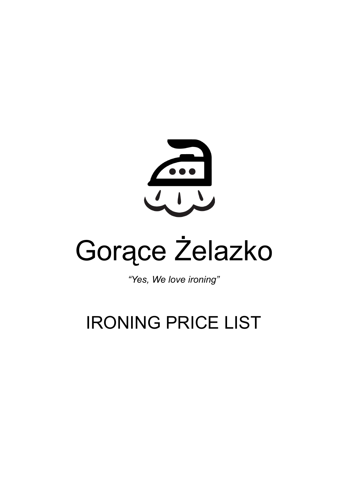

# Gorące Żelazko

*"Yes, We love ironing"*

# IRONING PRICE LIST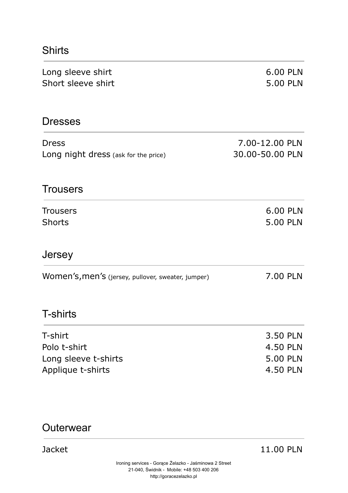#### Shirts

| Long sleeve shirt<br>Short sleeve shirt                              | 6.00 PLN<br>5.00 PLN                         |
|----------------------------------------------------------------------|----------------------------------------------|
| <b>Dresses</b>                                                       |                                              |
| <b>Dress</b><br>Long night dress (ask for the price)                 | 7.00-12.00 PLN<br>30.00-50.00 PLN            |
| <b>Trousers</b>                                                      |                                              |
| <b>Trousers</b><br><b>Shorts</b>                                     | 6.00 PLN<br>5.00 PLN                         |
| Jersey                                                               |                                              |
| Women's, men's (jersey, pullover, sweater, jumper)                   | 7.00 PLN                                     |
| <b>T-shirts</b>                                                      |                                              |
| T-shirt<br>Polo t-shirt<br>Long sleeve t-shirts<br>Applique t-shirts | 3.50 PLN<br>4.50 PLN<br>5.00 PLN<br>4.50 PLN |

### **Outerwear**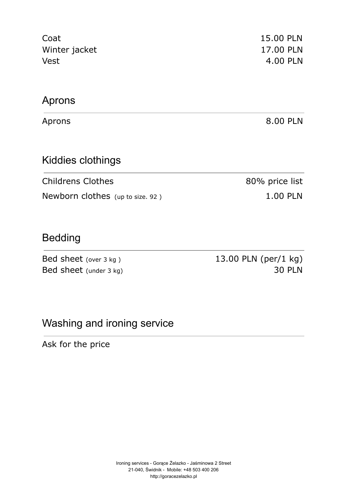| Coat<br>Winter jacket<br>Vest    | 15.00 PLN<br>17.00 PLN<br>4.00 PLN |
|----------------------------------|------------------------------------|
| Aprons                           |                                    |
| Aprons                           | 8.00 PLN                           |
| Kiddies clothings                |                                    |
| <b>Childrens Clothes</b>         | 80% price list                     |
| Newborn clothes (up to size. 92) | <b>1.00 PLN</b>                    |
|                                  |                                    |

### Bedding

Bed sheet (over 3 kg) 13.00 PLN (per/1 kg) Bed sheet (under 3 kg) 30 PLN

### Washing and ironing service

Ask for the price